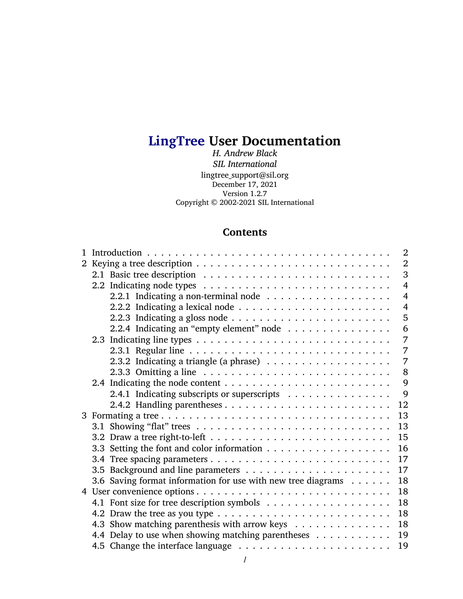# **LingTree User Documentation**

*H. Andrew Black SIL International* lingtree\_support@sil.org December 17, 2021 Version 1.2.7 Copyright © 2002-2021 SIL International

# **Contents**

|                                                              | 2              |
|--------------------------------------------------------------|----------------|
|                                                              | $\overline{2}$ |
|                                                              | 3              |
|                                                              | $\overline{4}$ |
|                                                              | $\overline{4}$ |
|                                                              | $\overline{4}$ |
|                                                              | 5              |
| 2.2.4 Indicating an "empty element" node                     | 6              |
|                                                              | 7              |
|                                                              | $\overline{7}$ |
|                                                              | 7              |
|                                                              | 8              |
|                                                              | 9              |
| 2.4.1 Indicating subscripts or superscripts                  | $\mathbf{Q}$   |
|                                                              | 12             |
|                                                              | 13             |
|                                                              | 13             |
|                                                              | 15             |
|                                                              | 16             |
|                                                              | 17             |
|                                                              | 17             |
| 3.6 Saving format information for use with new tree diagrams | 18             |
|                                                              | 18             |
|                                                              | 18             |
|                                                              | 18             |
| 4.3 Show matching parenthesis with arrow keys                | 18             |
| 4.4 Delay to use when showing matching parentheses           | 19             |
|                                                              | 19             |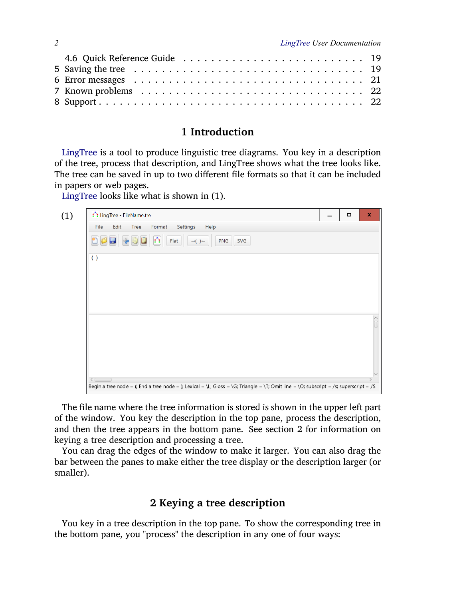# <span id="page-1-0"></span>**1 Introduction**

LingTree is a tool to produce linguistic tree diagrams. You key in a description of the tree, process that description, and LingTree shows what the tree looks like. The tree can be saved in up to two different file formats so that it can be included in papers or web pages.

LingTree looks like what is shown in [\(1\)](#page-1-2).

<span id="page-1-2"></span>

The file name where the tree information is stored is shown in the upper left part of the window. You key the description in the top pane, process the description, and then the tree appears in the bottom pane. See section [2](#page-1-1) for information on keying a tree description and processing a tree.

You can drag the edges of the window to make it larger. You can also drag the bar between the panes to make either the tree display or the description larger (or smaller).

# <span id="page-1-1"></span>**2 Keying a tree description**

You key in a tree description in the top pane. To show the corresponding tree in the bottom pane, you "process" the description in any one of four ways: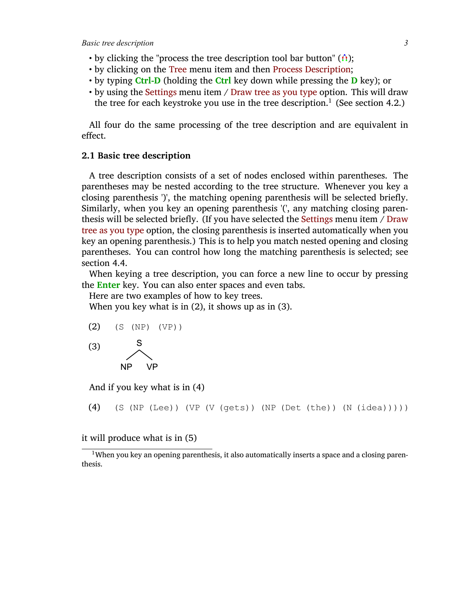- by clicking the "process the tree description tool bar button"  $(\hat{\theta})$ ;
- by clicking on the Tree menu item and then Process Description;
- by typing **Ctrl-D** (holding the **Ctrl** key down while pressing the **D** key); or
- by using the Settings menu item / Draw tree as you type option. This will draw the tree for each keystroke you use in the tree description.<sup>1</sup> (See section [4.2.](#page-17-3))

All four do the same processing of the tree description and are equivalent in effect.

### <span id="page-2-0"></span>**2.1 Basic tree description**

A tree description consists of a set of nodes enclosed within parentheses. The parentheses may be nested according to the tree structure. Whenever you key a closing parenthesis ')', the matching opening parenthesis will be selected briefly. Similarly, when you key an opening parenthesis '(', any matching closing parenthesis will be selected briefly. (If you have selected the Settings menu item / Draw tree as you type option, the closing parenthesis is inserted automatically when you key an opening parenthesis.) This is to help you match nested opening and closing parentheses. You can control how long the matching parenthesis is selected; see section [4.4](#page-18-0).

When keying a tree description, you can force a new line to occur by pressing the **Enter** key. You can also enter spaces and even tabs.

Here are two examples of how to key trees.

When you key what is in [\(2\),](#page-2-1) it shows up as in [\(3\)](#page-2-2).

<span id="page-2-1"></span>

<span id="page-2-2"></span>

And if you key what is in [\(4\)](#page-2-3)

<span id="page-2-3"></span>(4) (S (NP (Lee)) (VP (V (gets)) (NP (Det (the)) (N (idea)))))

it will produce what is in [\(5\)](#page-3-3)

<sup>&</sup>lt;sup>1</sup>When you key an opening parenthesis, it also automatically inserts a space and a closing parenthesis.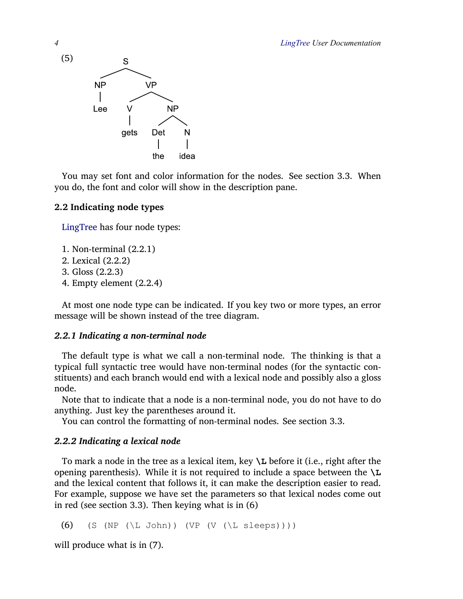<span id="page-3-3"></span>

You may set font and color information for the nodes. See section [3.3.](#page-15-0) When you do, the font and color will show in the description pane.

# <span id="page-3-0"></span>**2.2 Indicating node types**

LingTree has four node types:

- 1. Non-terminal [\(2.2.1\)](#page-3-1)
- 2. Lexical([2.2.2\)](#page-3-2)
- 3. Gloss [\(2.2.3](#page-4-0))
- 4. Empty element [\(2.2.4](#page-5-0))

At most one node type can be indicated. If you key two or more types, an error message will be shown instead of the tree diagram.

# <span id="page-3-1"></span>*2.2.1 Indicating a non-terminal node*

The default type is what we call a non-terminal node. The thinking is that a typical full syntactic tree would have non-terminal nodes (for the syntactic constituents) and each branch would end with a lexical node and possibly also a gloss node.

Note that to indicate that a node is a non-terminal node, you do not have to do anything. Just key the parentheses around it.

You can control the formatting of non-terminal nodes. See section [3.3.](#page-15-0)

# <span id="page-3-2"></span>*2.2.2 Indicating a lexical node*

To mark a node in the tree as a lexical item, key **\L** before it (i.e., right after the opening parenthesis). While it is not required to include a space between the **\L** and the lexical content that follows it, it can make the description easier to read. For example, suppose we have set the parameters so that lexical nodes come out in red (see section [3.3\)](#page-15-0). Then keying what is in [\(6\)](#page-3-4)

<span id="page-3-4"></span>(6) (S (NP  $(\Leftrightarrow$  John)) (VP  $(V (\Leftrightarrow$  Sleeps))))

will produce what is in [\(7\)](#page-4-1).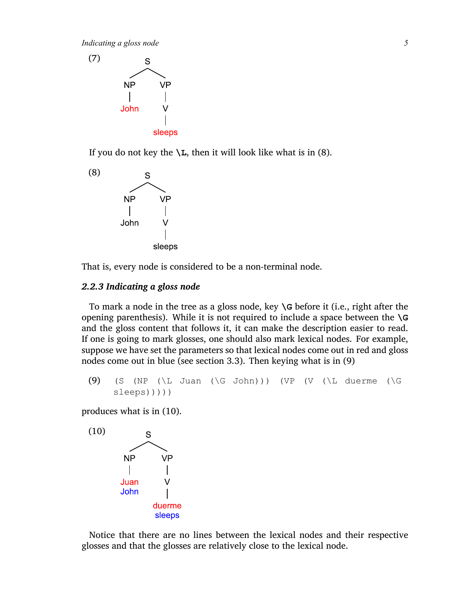<span id="page-4-1"></span>

If you do not key the  $\mathcal{L}$ , then it will look like what is in [\(8\)](#page-4-2).

<span id="page-4-2"></span>

That is, every node is considered to be a non-terminal node.

### <span id="page-4-0"></span>*2.2.3 Indicating a gloss node*

To mark a node in the tree as a gloss node, key **\G** before it (i.e., right after the opening parenthesis). While it is not required to include a space between the **\G** and the gloss content that follows it, it can make the description easier to read. If one is going to mark glosses, one should also mark lexical nodes. For example, suppose we have set the parameters so that lexical nodes come out in red and gloss nodes come out in blue (see section [3.3\)](#page-15-0). Then keying what is in [\(9\)](#page-4-3)

<span id="page-4-3"></span> $(9)$  (S (NP (\L Juan (\G John))) (VP (V (\L duerme (\G sleeps)))))

produces what is in [\(10\)](#page-4-4).

<span id="page-4-4"></span>

Notice that there are no lines between the lexical nodes and their respective glosses and that the glosses are relatively close to the lexical node.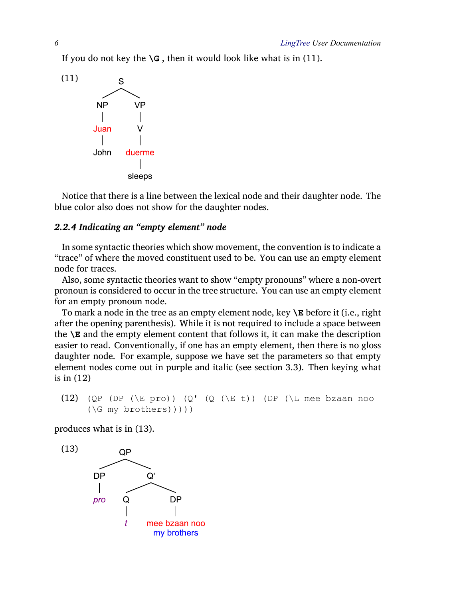If you do not key the  $\G$ , then it would look like what is in [\(11\)](#page-5-1).

<span id="page-5-1"></span>

Notice that there is a line between the lexical node and their daughter node. The blue color also does not show for the daughter nodes.

## <span id="page-5-0"></span>*2.2.4 Indicating an "empty element" node*

In some syntactic theories which show movement, the convention is to indicate a "trace" of where the moved constituent used to be. You can use an empty element node for traces.

Also, some syntactic theories want to show "empty pronouns" where a non-overt pronoun is considered to occur in the tree structure. You can use an empty element for an empty pronoun node.

To mark a node in the tree as an empty element node, key **\E** before it (i.e., right after the opening parenthesis). While it is not required to include a space between the **\E** and the empty element content that follows it, it can make the description easier to read. Conventionally, if one has an empty element, then there is no gloss daughter node. For example, suppose we have set the parameters so that empty element nodes come out in purple and italic (see section [3.3](#page-15-0)). Then keying what is in [\(12\)](#page-5-2)

<span id="page-5-2"></span>(12) 
$$
(QP (DP (\E pro)) (Q' (Q (\E t)) (DP (\L mee bzaan noo (\G my brothers))))
$$

produces what is in [\(13\)](#page-5-3).

<span id="page-5-3"></span>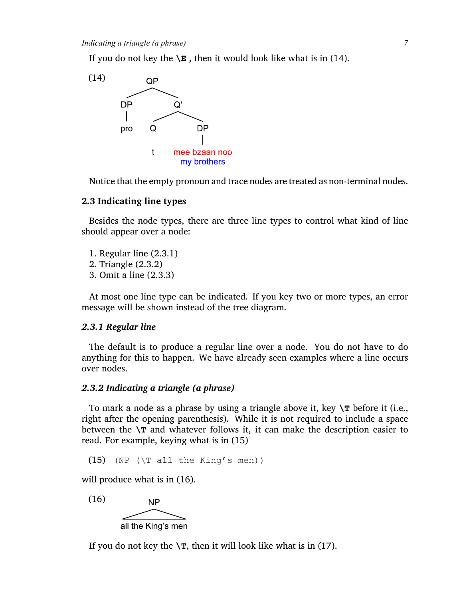If you do not key the  $\ \mathsf{E}$ , then it would look like what is in [\(14\)](#page-6-3).

<span id="page-6-3"></span>

Notice that the empty pronoun and trace nodes are treated as non-terminal nodes.

### <span id="page-6-0"></span>**2.3 Indicating line types**

Besides the node types, there are three line types to control what kind of line should appear over a node:

- 1. Regular line([2.3.1\)](#page-6-1)
- 2. Triangle([2.3.2](#page-6-2))
- 3. Omit a line [\(2.3.3\)](#page-7-0)

At most one line type can be indicated. If you key two or more types, an error message will be shown instead of the tree diagram.

#### <span id="page-6-1"></span>*2.3.1 Regular line*

The default is to produce a regular line over a node. You do not have to do anything for this to happen. We have already seen examples where a line occurs over nodes.

### <span id="page-6-2"></span>*2.3.2 Indicating a triangle (a phrase)*

To mark a node as a phrase by using a triangle above it, key **\T** before it (i.e., right after the opening parenthesis). While it is not required to include a space between the  $\mathcal{L}$  and whatever follows it, it can make the description easier to read. For example, keying what is in [\(15\)](#page-6-4)

```
(15) (NP (\T all the King's men))
```
will produce what is in [\(16\)](#page-6-5).

<span id="page-6-5"></span>(16) **NP** all the King's men

If you do not key the  $\forall$ **T**, then it will look like what is in [\(17\).](#page-7-1)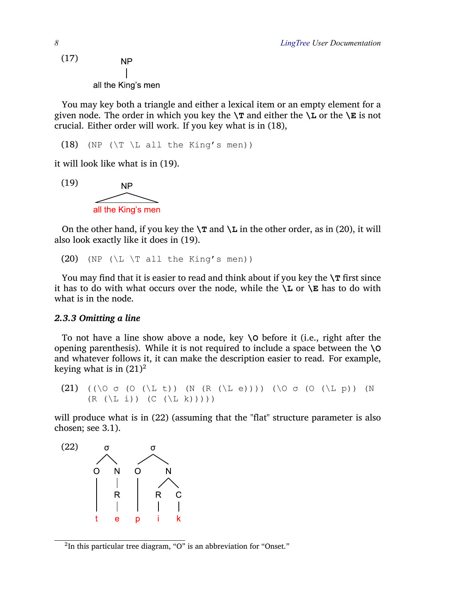<span id="page-7-1"></span>(17) **NP** all the King's men

You may key both a triangle and either a lexical item or an empty element for a given node. The order in which you key the  $\mathcal{T}$  and either the  $\mathcal{T}$  or the  $\mathcal{T}$  is not crucial. Either order will work. If you key what is in [\(18\),](#page-7-2)

<span id="page-7-2"></span>(18) (NP ( $\T$   $\L$  all the King's men))

it will look like what is in [\(19\)](#page-7-3).

<span id="page-7-3"></span>

On the other hand, if you key the  $\mathcal{T}$  and  $\mathcal{L}$  in the other order, as in [\(20\),](#page-7-4) it will also look exactly like it does in [\(19\).](#page-7-3)

<span id="page-7-4"></span>(20) (NP ( $\L \ T$  all the King's men))

You may find that it is easier to read and think about if you key the  $\Upsilon$  first since it has to do with what occurs over the node, while the  $\mathcal{L}$  or  $\mathcal{E}$  has to do with what is in the node.

#### <span id="page-7-0"></span>*2.3.3 Omitting a line*

To not have a line show above a node, key **\O** before it (i.e., right after the opening parenthesis). While it is not required to include a space between the **\O** and whatever follows it, it can make the description easier to read. For example, keying what is in  $(21)^2$  $(21)^2$ 

<span id="page-7-5"></span>(21) ((\O  $\sigma$  (O (\L t)) (N (R (\L e)))) (\O  $\sigma$  (O (\L p)) (N  $(R (\L i)) (C (\L k))))$ 

will produce what is in [\(22\)](#page-7-6) (assuming that the "flat" structure parameter is also chosen; see [3.1\)](#page-12-1).

<span id="page-7-6"></span>

 $^2$ In this particular tree diagram, "O" is an abbreviation for "Onset."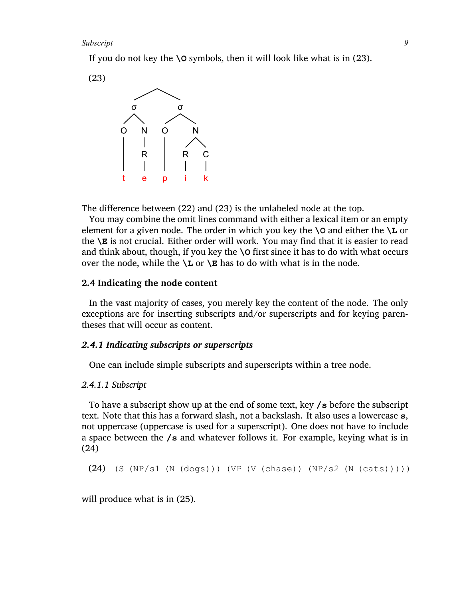If you do not key the **\O** symbols, then it will look like what is in [\(23\)](#page-8-2).

<span id="page-8-2"></span>



The difference between [\(22\)](#page-7-6) and [\(23\)](#page-8-2) is the unlabeled node at the top.

You may combine the omit lines command with either a lexical item or an empty element for a given node. The order in which you key the **\O** and either the **\L** or the **\E** is not crucial. Either order will work. You may find that it is easier to read and think about, though, if you key the **\O** first since it has to do with what occurs over the node, while the  $\angle$ **L** or  $\angle$ **E** has to do with what is in the node.

### <span id="page-8-0"></span>**2.4 Indicating the node content**

In the vast majority of cases, you merely key the content of the node. The only exceptions are for inserting subscripts and/or superscripts and for keying parentheses that will occur as content.

### <span id="page-8-1"></span>*2.4.1 Indicating subscripts or superscripts*

One can include simple subscripts and superscripts within a tree node.

#### <span id="page-8-4"></span>*2.4.1.1 Subscript*

To have a subscript show up at the end of some text, key **/s** before the subscript text. Note that this has a forward slash, not a backslash. It also uses a lowercase **s**, not uppercase (uppercase is used for a superscript). One does not have to include a space between the **/s** and whatever follows it. For example, keying what is in [\(24\)](#page-8-3)

<span id="page-8-3"></span>(24) (S (NP/s1 (N (dogs))) (VP (V (chase)) (NP/s2 (N (cats)))))

will produce what is in [\(25\)](#page-9-0).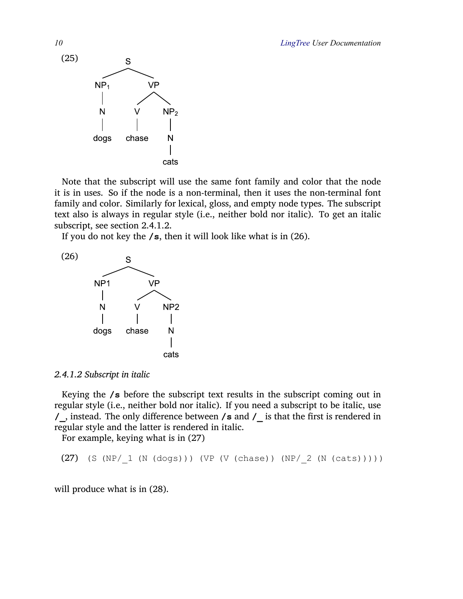<span id="page-9-0"></span>

Note that the subscript will use the same font family and color that the node it is in uses. So if the node is a non-terminal, then it uses the non-terminal font family and color. Similarly for lexical, gloss, and empty node types. The subscript text also is always in regular style (i.e., neither bold nor italic). To get an italic subscript, see section [2.4.1.2](#page-9-1).

If you do not key the **/s**, then it will look like what is in [\(26\).](#page-9-2)

<span id="page-9-2"></span>

<span id="page-9-1"></span>*2.4.1.2 Subscript in italic*

Keying the **/s** before the subscript text results in the subscript coming out in regular style (i.e., neither bold nor italic). If you need a subscript to be italic, use **/\_**, instead. The only difference between **/s** and **/\_** is that the first is rendered in regular style and the latter is rendered in italic.

For example, keying what is in [\(27\)](#page-9-3)

<span id="page-9-3"></span>(27) (S (NP/\_1 (N (dogs))) (VP (V (chase)) (NP/\_2 (N (cats)))))

will produce what is in [\(28\)](#page-10-0).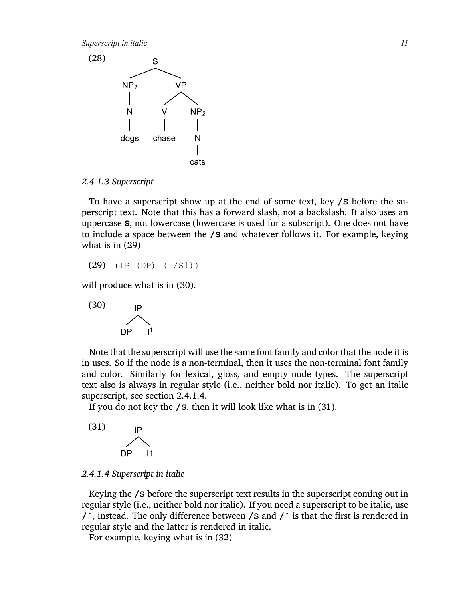*Superscript in italic 11*

<span id="page-10-0"></span>

#### <span id="page-10-5"></span>*2.4.1.3 Superscript*

To have a superscript show up at the end of some text, key **/S** before the superscript text. Note that this has a forward slash, not a backslash. It also uses an uppercase **S**, not lowercase (lowercase is used for a subscript). One does not have to include a space between the **/S** and whatever follows it. For example, keying what is in [\(29\)](#page-10-1)

<span id="page-10-1"></span>(29) (IP (DP) (I/S1))

will produce what is in  $(30)$ .

<span id="page-10-2"></span>

Note that the superscript will use the same font family and color that the node it is in uses. So if the node is a non-terminal, then it uses the non-terminal font family and color. Similarly for lexical, gloss, and empty node types. The superscript text also is always in regular style (i.e., neither bold nor italic). To get an italic superscript, see section [2.4.1.4.](#page-10-3)

If you do not key the **/S**, then it will look like what is in [\(31\).](#page-10-4)

<span id="page-10-4"></span>

### <span id="page-10-3"></span>*2.4.1.4 Superscript in italic*

Keying the **/S** before the superscript text results in the superscript coming out in regular style (i.e., neither bold nor italic). If you need a superscript to be italic, use **/ˆ**, instead. The only difference between **/S** and **/ˆ** is that the first is rendered in regular style and the latter is rendered in italic.

For example, keying what is in [\(32\)](#page-11-1)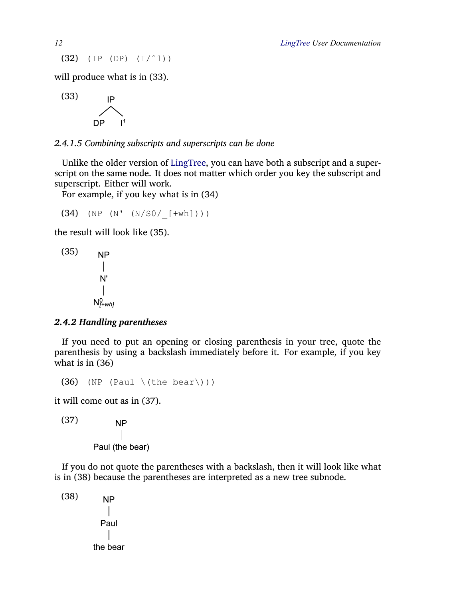<span id="page-11-1"></span>(32) (IP (DP) (I/ˆ1))

will produce what is in [\(33\)](#page-11-2).

<span id="page-11-2"></span>

*2.4.1.5 Combining subscripts and superscripts can be done*

Unlike the older version of LingTree, you can have both a subscript and a superscript on the same node. It does not matter which order you key the subscript and superscript. Either will work.

For example, if you key what is in [\(34\)](#page-11-3)

<span id="page-11-3"></span> $(34)$  (NP (N'  $(N/S0/$  [+wh])))

the result will look like [\(35\).](#page-11-4)

<span id="page-11-4"></span>
$$
\begin{array}{cc}\n(35) & NP \\
 & | & \\
N' & \\
 & | & \\
N^0_{\text{+whj}}\n\end{array}
$$

### <span id="page-11-0"></span>*2.4.2 Handling parentheses*

If you need to put an opening or closing parenthesis in your tree, quote the parenthesis by using a backslash immediately before it. For example, if you key what is in [\(36\)](#page-11-5)

```
(36) (NP (Paul \(the bear\)))
```
it will come out as in [\(37\).](#page-11-6)

<span id="page-11-6"></span>(37)

**NP** Paul (the bear)

If you do not quote the parentheses with a backslash, then it will look like what is in [\(38\)](#page-11-7) because the parentheses are interpreted as a new tree subnode.

<span id="page-11-7"></span>(38)**NP**  $\overline{1}$ Paul the bear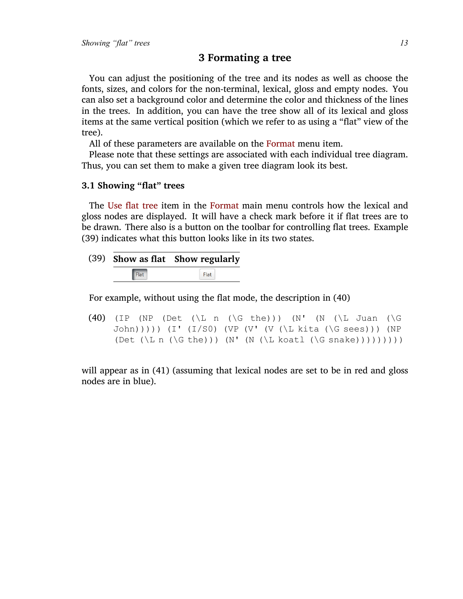# <span id="page-12-0"></span>**3 Formating a tree**

You can adjust the positioning of the tree and its nodes as well as choose the fonts, sizes, and colors for the non-terminal, lexical, gloss and empty nodes. You can also set a background color and determine the color and thickness of the lines in the trees. In addition, you can have the tree show all of its lexical and gloss items at the same vertical position (which we refer to as using a "flat" view of the tree).

All of these parameters are available on the Format menu item.

Please note that these settings are associated with each individual tree diagram. Thus, you can set them to make a given tree diagram look its best.

### <span id="page-12-1"></span>**3.1 Showing "flat" trees**

The Use flat tree item in the Format main menu controls how the lexical and gloss nodes are displayed. It will have a check mark before it if flat trees are to be drawn. There also is a button on the toolbar for controlling flat trees. Example [\(39\)](#page-12-2) indicates what this button looks like in its two states.

<span id="page-12-2"></span>

|      | (39) Show as flat Show regularly |
|------|----------------------------------|
| Flat | Flat                             |

For example, without using the flat mode, the description in [\(40\)](#page-12-3)

<span id="page-12-3"></span>(40) (IP (NP (Det  $(\Leftrightarrow n \leq b)$ ) (N' (N ( $\Leftrightarrow$  Juan ( $\Box$ G John))))) (I' (I/S0) (VP (V' (V (\L kita (\G sees))) (NP (Det  $(\L n (\G the))) (N' (N (\L kout (G snake)))))))$ )

will appear as in [\(41\)](#page-13-0) (assuming that lexical nodes are set to be in red and gloss nodes are in blue).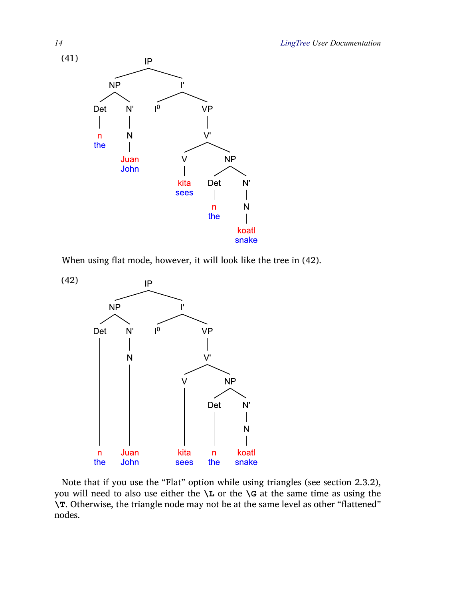

<span id="page-13-0"></span>

When using flat mode, however, it will look like the tree in [\(42\)](#page-13-1).

<span id="page-13-1"></span>

Note that if you use the "Flat" option while using triangles (see section [2.3.2](#page-6-2)), you will need to also use either the **\L** or the **\G** at the same time as using the **\T**. Otherwise, the triangle node may not be at the same level as other "flattened" nodes.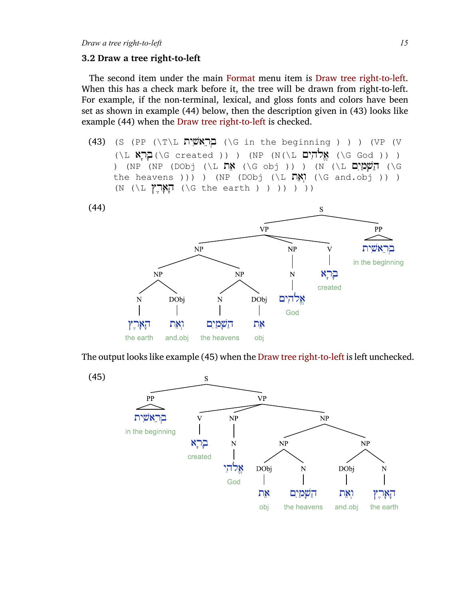#### <span id="page-14-0"></span>**3.2 Draw a tree right-to-left**

The second item under the main Format menu item is Draw tree right-to-left. When this has a check mark before it, the tree will be drawn from right-to-left. For example, if the non-terminal, lexical, and gloss fonts and colors have been set as shown in example [\(44\)](#page-14-1) below, then the description given in [\(43\)](#page-14-2) looks like example [\(44\)](#page-14-1) when the Draw tree right-to-left is checked.

<span id="page-14-2"></span>(43) (S (PP  $(\Tilde{\Gamma})$ ית הוכאשית (G in the beginning ) ) ) (VP (V  $(\L \times)$ אֱלֹהִיִּם (NP (N(\L יְהֵאָל) (G created )) ) (NP (N(\L יָאֱלֹהִיִם )) ) ) (NP (NP (DObj (\L תֵאֲלוֹן הַ (G obj )) ) (N (\L הַשַּׁמַיִם) (G the heavens ))) ) (NP (DObj (\L  $\nabla x$ ) (\G and.obj )) )  $(N (\Leftrightarrow \mathbb{N}) \setminus \mathbb{N})$  ( ) ) ) ) (G the earth ) ) ) )

<span id="page-14-1"></span>![](_page_14_Figure_4.jpeg)

The output looks like example [\(45\)](#page-14-3) when the Draw tree right-to-left is left unchecked.

<span id="page-14-3"></span>![](_page_14_Figure_6.jpeg)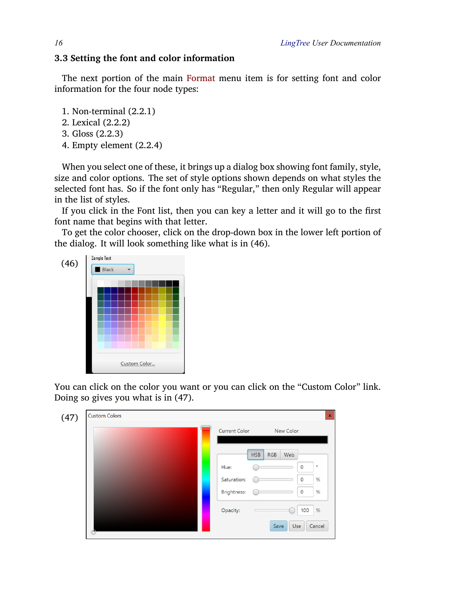### <span id="page-15-0"></span>**3.3 Setting the font and color information**

The next portion of the main Format menu item is for setting font and color information for the four node types:

- 1. Non-terminal [\(2.2.1\)](#page-3-1)
- 2. Lexical([2.2.2\)](#page-3-2)
- 3. Gloss [\(2.2.3](#page-4-0))
- 4. Empty element [\(2.2.4](#page-5-0))

When you select one of these, it brings up a dialog box showing font family, style, size and color options. The set of style options shown depends on what styles the selected font has. So if the font only has "Regular," then only Regular will appear in the list of styles.

If you click in the Font list, then you can key a letter and it will go to the first font name that begins with that letter.

To get the color chooser, click on the drop-down box in the lower left portion of the dialog. It will look something like what is in [\(46\)](#page-15-1).

<span id="page-15-1"></span>![](_page_15_Picture_10.jpeg)

You can click on the color you want or you can click on the "Custom Color" link. Doing so gives you what is in [\(47\)](#page-15-2).

<span id="page-15-2"></span>![](_page_15_Figure_12.jpeg)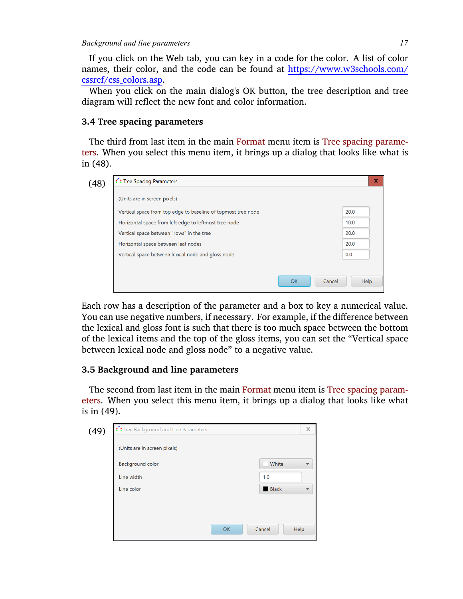If you click on the Web tab, you can key in a code for the color. A list of color names, their color, and the code can be found at [https://www.w3schools.com/](https://www.w3schools.com/cssref/css_colors.asp) [cssref/css\\_colors.asp.](https://www.w3schools.com/cssref/css_colors.asp)

When you click on the main dialog's OK button, the tree description and tree diagram will reflect the new font and color information.

# <span id="page-16-0"></span>**3.4 Tree spacing parameters**

The third from last item in the main Format menu item is Tree spacing parameters. When you select this menu item, it brings up a dialog that looks like what is in [\(48\)](#page-16-2).

<span id="page-16-2"></span>

| 20.0 |
|------|
| 10.0 |
| 20.0 |
| 20.0 |
| 0.0  |
|      |
|      |

Each row has a description of the parameter and a box to key a numerical value. You can use negative numbers, if necessary. For example, if the difference between the lexical and gloss font is such that there is too much space between the bottom of the lexical items and the top of the gloss items, you can set the "Vertical space between lexical node and gloss node" to a negative value.

# <span id="page-16-1"></span>**3.5 Background and line parameters**

The second from last item in the main Format menu item is Tree spacing parameters. When you select this menu item, it brings up a dialog that looks like what is in [\(49\)](#page-16-3).

<span id="page-16-3"></span>

| (49) | Tree Background and Line Parameters |                     | $\mathbb X$ |
|------|-------------------------------------|---------------------|-------------|
|      | (Units are in screen pixels)        |                     |             |
|      | <b>Background color</b>             | White               |             |
|      | Line width                          | 1.0                 |             |
|      | Line color                          | <b>Black</b>        |             |
|      |                                     |                     |             |
|      |                                     |                     |             |
|      |                                     | Cancel<br><b>OK</b> | Help        |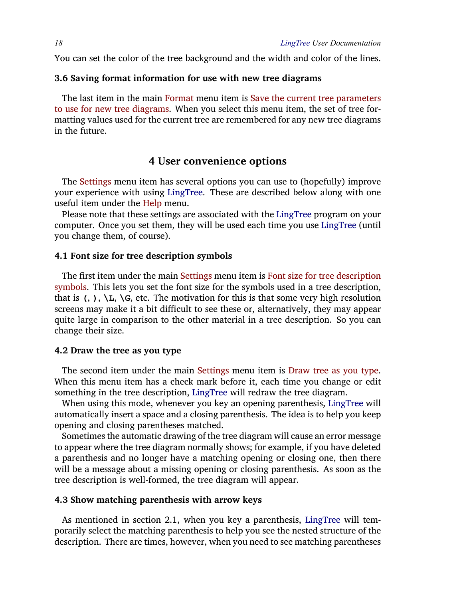You can set the color of the tree background and the width and color of the lines.

### <span id="page-17-0"></span>**3.6 Saving format information for use with new tree diagrams**

The last item in the main Format menu item is Save the current tree parameters to use for new tree diagrams. When you select this menu item, the set of tree formatting values used for the current tree are remembered for any new tree diagrams in the future.

# <span id="page-17-1"></span>**4 User convenience options**

The Settings menu item has several options you can use to (hopefully) improve your experience with using LingTree. These are described below along with one useful item under the Help menu.

Please note that these settings are associated with the LingTree program on your computer. Once you set them, they will be used each time you use LingTree (until you change them, of course).

### <span id="page-17-2"></span>**4.1 Font size for tree description symbols**

The first item under the main Settings menu item is Font size for tree description symbols. This lets you set the font size for the symbols used in a tree description, that is  $($ ,  $)$ ,  $\mathcal{L}$ ,  $\mathcal{G}$ , etc. The motivation for this is that some very high resolution screens may make it a bit difficult to see these or, alternatively, they may appear quite large in comparison to the other material in a tree description. So you can change their size.

### <span id="page-17-3"></span>**4.2 Draw the tree as you type**

The second item under the main Settings menu item is Draw tree as you type. When this menu item has a check mark before it, each time you change or edit something in the tree description, LingTree will redraw the tree diagram.

When using this mode, whenever you key an opening parenthesis, LingTree will automatically insert a space and a closing parenthesis. The idea is to help you keep opening and closing parentheses matched.

Sometimes the automatic drawing of the tree diagram will cause an error message to appear where the tree diagram normally shows; for example, if you have deleted a parenthesis and no longer have a matching opening or closing one, then there will be a message about a missing opening or closing parenthesis. As soon as the tree description is well-formed, the tree diagram will appear.

### <span id="page-17-4"></span>**4.3 Show matching parenthesis with arrow keys**

As mentioned in section [2.1,](#page-2-0) when you key a parenthesis, LingTree will temporarily select the matching parenthesis to help you see the nested structure of the description. There are times, however, when you need to see matching parentheses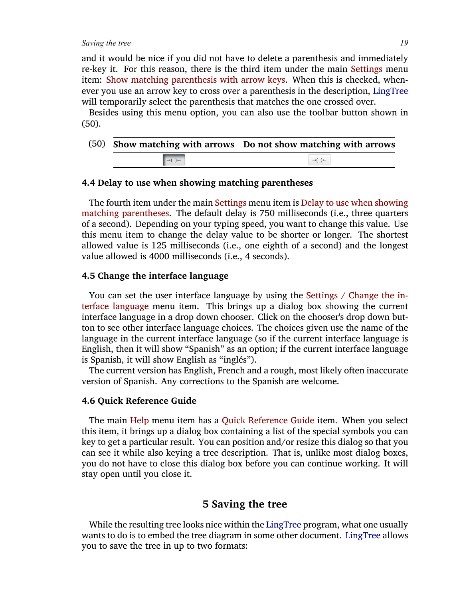*Saving the tree 19*

and it would be nice if you did not have to delete a parenthesis and immediately re-key it. For this reason, there is the third item under the main Settings menu item: Show matching parenthesis with arrow keys. When this is checked, whenever you use an arrow key to cross over a parenthesis in the description, LingTree will temporarily select the parenthesis that matches the one crossed over.

Besides using this menu option, you can also use the toolbar button shown in [\(50\)](#page-18-4).

<span id="page-18-4"></span>

|                                           | (50) Show matching with arrows Do not show matching with arrows |
|-------------------------------------------|-----------------------------------------------------------------|
| $\rightarrow$ $\rightarrow$ $\rightarrow$ | $\rightarrow$ $\rightarrow$                                     |
|                                           |                                                                 |

### <span id="page-18-0"></span>**4.4 Delay to use when showing matching parentheses**

The fourth item under the main Settings menu item is Delay to use when showing matching parentheses. The default delay is 750 milliseconds (i.e., three quarters of a second). Depending on your typing speed, you want to change this value. Use this menu item to change the delay value to be shorter or longer. The shortest allowed value is 125 milliseconds (i.e., one eighth of a second) and the longest value allowed is 4000 milliseconds (i.e., 4 seconds).

### <span id="page-18-1"></span>**4.5 Change the interface language**

You can set the user interface language by using the Settings / Change the interface language menu item. This brings up a dialog box showing the current interface language in a drop down chooser. Click on the chooser's drop down button to see other interface language choices. The choices given use the name of the language in the current interface language (so if the current interface language is English, then it will show "Spanish" as an option; if the current interface language is Spanish, it will show English as "inglés").

The current version has English, French and a rough, most likely often inaccurate version of Spanish. Any corrections to the Spanish are welcome.

#### <span id="page-18-2"></span>**4.6 Quick Reference Guide**

The main Help menu item has a Quick Reference Guide item. When you select this item, it brings up a dialog box containing a list of the special symbols you can key to get a particular result. You can position and/or resize this dialog so that you can see it while also keying a tree description. That is, unlike most dialog boxes, you do not have to close this dialog box before you can continue working. It will stay open until you close it.

# <span id="page-18-3"></span>**5 Saving the tree**

While the resulting tree looks nice within the LingTree program, what one usually wants to do is to embed the tree diagram in some other document. LingTree allows you to save the tree in up to two formats: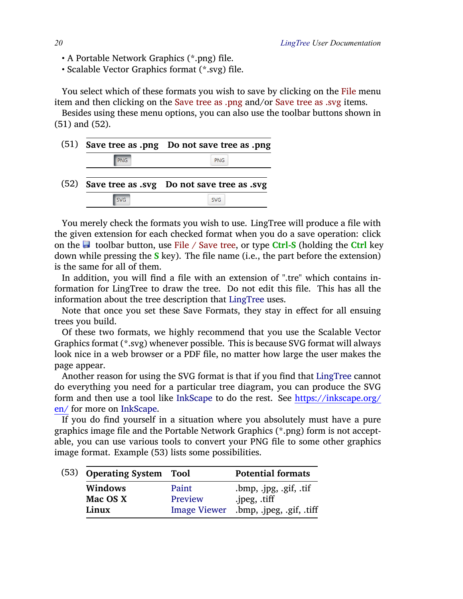- A Portable Network Graphics (\*.png) file.
- Scalable Vector Graphics format (\*.svg) file.

You select which of these formats you wish to save by clicking on the File menu item and then clicking on the Save tree as .png and/or Save tree as .svg items.

Besides using these menu options, you can also use the toolbar buttons shown in [\(51\)](#page-19-0) and [\(52\).](#page-19-1)

<span id="page-19-1"></span><span id="page-19-0"></span>

|            | (51) Save tree as .png Do not save tree as .png |
|------------|-------------------------------------------------|
| <b>PNG</b> | <b>PNG</b>                                      |
|            | (52) Save tree as .svg Do not save tree as .svg |
| <b>SVG</b> | <b>SVG</b>                                      |

You merely check the formats you wish to use. LingTree will produce a file with the given extension for each checked format when you do a save operation: click on the toolbar button, use File / Save tree, or type **Ctrl-S** (holding the **Ctrl** key down while pressing the **S** key). The file name (i.e., the part before the extension) is the same for all of them.

In addition, you will find a file with an extension of ".tre" which contains information for LingTree to draw the tree. Do not edit this file. This has all the information about the tree description that LingTree uses.

Note that once you set these Save Formats, they stay in effect for all ensuing trees you build.

Of these two formats, we highly recommend that you use the Scalable Vector Graphics format (\*.svg) whenever possible. This is because SVG format will always look nice in a web browser or a PDF file, no matter how large the user makes the page appear.

Another reason for using the SVG format is that if you find that LingTree cannot do everything you need for a particular tree diagram, you can produce the SVG form and then use a tool like InkScape to do the rest. See [https://inkscape.org/](https://inkscape.org/en/) [en/](https://inkscape.org/en/) for more on InkScape.

If you do find yourself in a situation where you absolutely must have a pure graphics image file and the Portable Network Graphics (\*.png) form is not acceptable, you can use various tools to convert your PNG file to some other graphics image format. Example [\(53\)](#page-19-2) lists some possibilities.

<span id="page-19-2"></span>

|  | (53) Operating System Tool |                     | <b>Potential formats</b>   |
|--|----------------------------|---------------------|----------------------------|
|  | Windows                    | Paint               | $l$ .bmp, .jpg, .gif, .tif |
|  | Mac OS X                   | Preview             | .jpeg, .tiff               |
|  | Linux                      | <b>Image Viewer</b> | .bmp, .jpeg, .gif, .tiff   |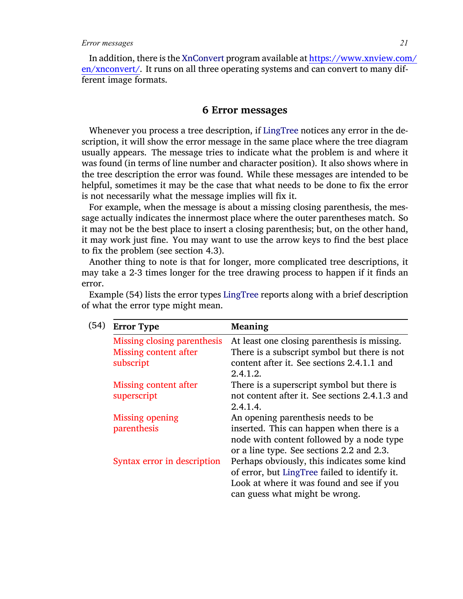In addition, there is the XnConvert program available at [https://www.xnview.com/](https://www.xnview.com/en/xnconvert/) [en/xnconvert/](https://www.xnview.com/en/xnconvert/). It runs on all three operating systems and can convert to many different image formats.

### <span id="page-20-0"></span>**6 Error messages**

Whenever you process a tree description, if LingTree notices any error in the description, it will show the error message in the same place where the tree diagram usually appears. The message tries to indicate what the problem is and where it was found (in terms of line number and character position). It also shows where in the tree description the error was found. While these messages are intended to be helpful, sometimes it may be the case that what needs to be done to fix the error is not necessarily what the message implies will fix it.

For example, when the message is about a missing closing parenthesis, the message actually indicates the innermost place where the outer parentheses match. So it may not be the best place to insert a closing parenthesis; but, on the other hand, it may work just fine. You may want to use the arrow keys to find the best place to fix the problem (see section [4.3\)](#page-17-4).

Another thing to note is that for longer, more complicated tree descriptions, it may take a 2-3 times longer for the tree drawing process to happen if it finds an error.

<span id="page-20-1"></span>

| (54) | <b>Error Type</b>                                                        | Meaning                                                                                                                                                                     |
|------|--------------------------------------------------------------------------|-----------------------------------------------------------------------------------------------------------------------------------------------------------------------------|
|      | Missing closing parenthesis<br><b>Missing content after</b><br>subscript | At least one closing parenthesis is missing.<br>There is a subscript symbol but there is not<br>content after it. See sections 2.4.1.1 and<br>2.4.1.2.                      |
|      | Missing content after<br>superscript                                     | There is a superscript symbol but there is<br>not content after it. See sections 2.4.1.3 and<br>2.4.1.4.                                                                    |
|      | <b>Missing opening</b><br>parenthesis                                    | An opening parenthesis needs to be.<br>inserted. This can happen when there is a<br>node with content followed by a node type<br>or a line type. See sections 2.2 and 2.3.  |
|      | Syntax error in description                                              | Perhaps obviously, this indicates some kind<br>of error, but LingTree failed to identify it.<br>Look at where it was found and see if you<br>can guess what might be wrong. |

Example [\(54\)](#page-20-1) lists the error types LingTree reports along with a brief description of what the error type might mean.